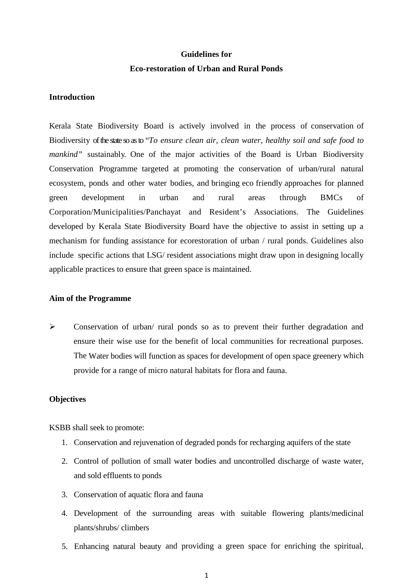# **Guidelines for Eco-restoration of Urban and Rural Ponds**

#### **Introduction**

Kerala State Biodiversity Board is actively involved in the process of conservation of Biodiversity of the state so as to "*To ensure clean air, clean water, healthy soil and safe food to mankind*" sustainably. One of the major activities of the Board is Urban Biodiversity Conservation Programme targeted at promoting the conservation of urban/rural natural ecosystem, ponds and other water bodies, and bringing eco friendly approaches for planned green development in urban and rural areas through BMCs of Corporation/Municipalities/Panchayat and Resident's Associations. The Guidelines developed by Kerala State Biodiversity Board have the objective to assist in setting up a mechanism for funding assistance for ecorestoration of urban / rural ponds. Guidelines also include specific actions that LSG/ resident associations might draw upon in designing locally applicable practices to ensure that green space is maintained.

#### **Aim of the Programme**

 Conservation of urban/ rural ponds so as to prevent their further degradation and ensure their wise use for the benefit of local communities for recreational purposes. The Water bodies will function as spaces for development of open space greenery which provide for a range of micro natural habitats for flora and fauna.

#### **Objectives**

KSBB shall seek to promote:

- 1. Conservation and rejuvenation of degraded ponds for recharging aquifers of the state
- 2. Control of pollution of small water bodies and uncontrolled discharge of waste water, and sold effluents to ponds
- 3. Conservation of aquatic flora and fauna
- 4. Development of the surrounding areas with suitable flowering plants/medicinal plants/shrubs/ climbers
- 5. Enhancing natural beauty and providing a green space for enriching the spiritual,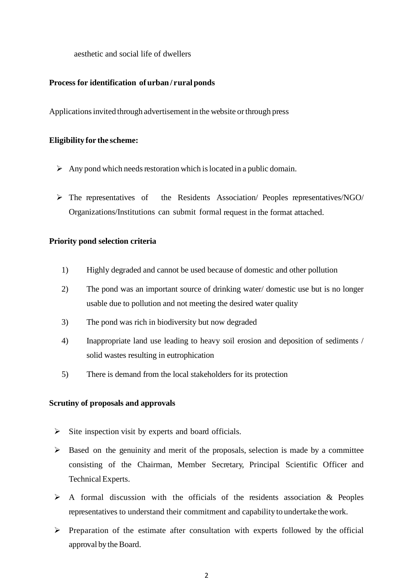aesthetic and social life of dwellers

## **Process for identification ofurban / ruralponds**

Applicationsinvited through advertisement in the website orthrough press

#### **Eligibility for the scheme:**

- $\triangleright$  Any pond which needs restoration which is located in a public domain.
- The representatives of the Residents Association/ Peoples representatives/NGO/ Organizations/Institutions can submit formal request in the format attached.

#### **Priority pond selection criteria**

- 1) Highly degraded and cannot be used because of domestic and other pollution
- 2) The pond was an important source of drinking water/ domestic use but is no longer usable due to pollution and not meeting the desired water quality
- 3) The pond was rich in biodiversity but now degraded
- 4) Inappropriate land use leading to heavy soil erosion and deposition of sediments / solid wastes resulting in eutrophication
- 5) There is demand from the local stakeholders for its protection

#### **Scrutiny of proposals and approvals**

- $\triangleright$  Site inspection visit by experts and board officials.
- $\triangleright$  Based on the genuinity and merit of the proposals, selection is made by a committee consisting of the Chairman, Member Secretary, Principal Scientific Officer and Technical Experts.
- $\triangleright$  A formal discussion with the officials of the residents association & Peoples representatives to understand their commitment and capability to undertake the work.
- $\triangleright$  Preparation of the estimate after consultation with experts followed by the official approval by the Board.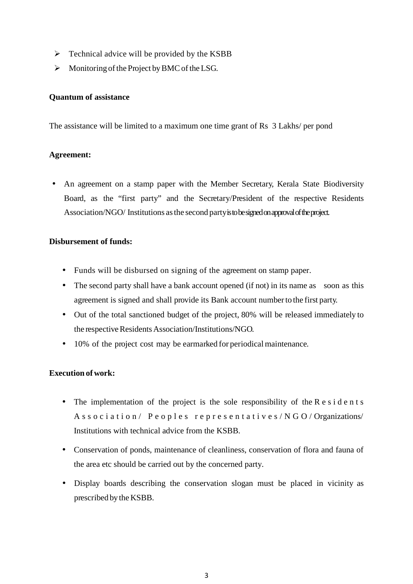- $\triangleright$  Technical advice will be provided by the KSBB
- $\triangleright$  Monitoring of the Project by BMC of the LSG.

### **Quantum of assistance**

The assistance will be limited to a maximum one time grant of Rs 3 Lakhs/ per pond

### **Agreement:**

 An agreement on a stamp paper with the Member Secretary, Kerala State Biodiversity Board, as the "first party" and the Secretary/President of the respective Residents Association/NGO/ Institutions asthe second party is to be signed on approval of the project.

### **Disbursement of funds:**

- Funds will be disbursed on signing of the agreement on stamp paper.
- The second party shall have a bank account opened (if not) in its name as soon as this agreement is signed and shall provide its Bank account numberto the first party.
- Out of the total sanctioned budget of the project, 80% will be released immediately to the respective Residents Association/Institutions/NGO.
- 10% of the project cost may be earmarked for periodical maintenance.

# **Execution of work:**

- $\bullet$  The implementation of the project is the sole responsibility of the R e s i d e n t s A s s o c i a t i o n / P e o p l e s r e p r e s e n t a t i v e s / N G O / Organizations/ Institutions with technical advice from the KSBB.
- Conservation of ponds, maintenance of cleanliness, conservation of flora and fauna of the area etc should be carried out by the concerned party.
- Display boards describing the conservation slogan must be placed in vicinity as prescribed by the KSBB.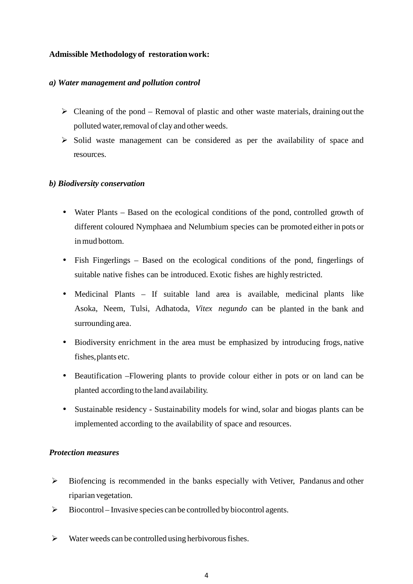## **Admissible Methodology of restorationwork:**

#### *a) Water management and pollution control*

- $\triangleright$  Cleaning of the pond Removal of plastic and other waste materials, draining out the polluted water, removal of clay and other weeds.
- $\triangleright$  Solid waste management can be considered as per the availability of space and resources.

### *b) Biodiversity conservation*

- Water Plants Based on the ecological conditions of the pond, controlled growth of different coloured Nymphaea and Nelumbium species can be promoted either in pots or in mud bottom.
- Fish Fingerlings Based on the ecological conditions of the pond, fingerlings of suitable native fishes can be introduced. Exotic fishes are highly restricted.
- Medicinal Plants If suitable land area is available, medicinal plants like Asoka, Neem, Tulsi, Adhatoda, *Vitex negundo* can be planted in the bank and surrounding area.
- Biodiversity enrichment in the area must be emphasized by introducing frogs, native fishes,plants etc.
- Beautification –Flowering plants to provide colour either in pots or on land can be planted according to the land availability.
- Sustainable residency Sustainability models for wind, solar and biogas plants can be implemented according to the availability of space and resources.

#### *Protection measures*

- Biofencing is recommended in the banks especially with Vetiver, Pandanus and other riparian vegetation.
- $\triangleright$  Biocontrol Invasive species can be controlled by biocontrol agents.
- $\triangleright$  Water weeds can be controlled using herbivorous fishes.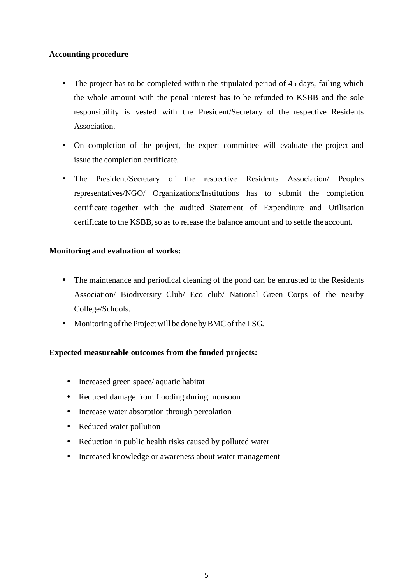# **Accounting procedure**

- The project has to be completed within the stipulated period of 45 days, failing which the whole amount with the penal interest has to be refunded to KSBB and the sole responsibility is vested with the President/Secretary of the respective Residents Association.
- On completion of the project, the expert committee will evaluate the project and issue the completion certificate.
- The President/Secretary of the respective Residents Association/ Peoples representatives/NGO/ Organizations/Institutions has to submit the completion certificate together with the audited Statement of Expenditure and Utilisation certificate to the KSBB, so as to release the balance amount and to settle the account.

# **Monitoring and evaluation of works:**

- The maintenance and periodical cleaning of the pond can be entrusted to the Residents Association/ Biodiversity Club/ Eco club/ National Green Corps of the nearby College/Schools.
- Monitoring of the Project will be done by BMC of the LSG.

# **Expected measureable outcomes from the funded projects:**

- Increased green space/ aquatic habitat
- Reduced damage from flooding during monsoon
- Increase water absorption through percolation
- Reduced water pollution
- Reduction in public health risks caused by polluted water
- Increased knowledge or awareness about water management